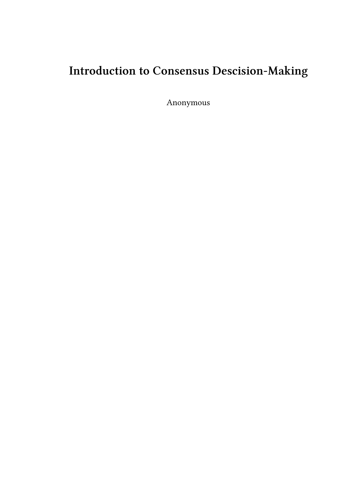# **Introduction to Consensus Descision-Making**

Anonymous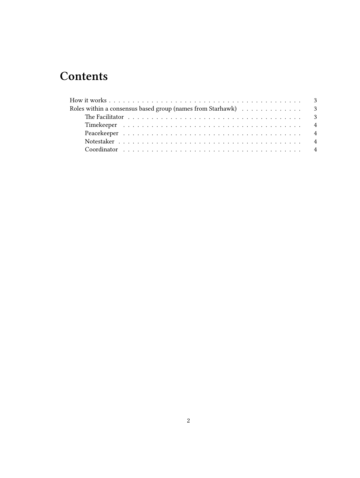## **Contents**

| Roles within a consensus based group (names from Starhawk) $\ldots \ldots \ldots \ldots$ |  |  |  |  |  |  |  |  |  |  |  |  |  |  |  |  |
|------------------------------------------------------------------------------------------|--|--|--|--|--|--|--|--|--|--|--|--|--|--|--|--|
|                                                                                          |  |  |  |  |  |  |  |  |  |  |  |  |  |  |  |  |
|                                                                                          |  |  |  |  |  |  |  |  |  |  |  |  |  |  |  |  |
|                                                                                          |  |  |  |  |  |  |  |  |  |  |  |  |  |  |  |  |
|                                                                                          |  |  |  |  |  |  |  |  |  |  |  |  |  |  |  |  |
|                                                                                          |  |  |  |  |  |  |  |  |  |  |  |  |  |  |  |  |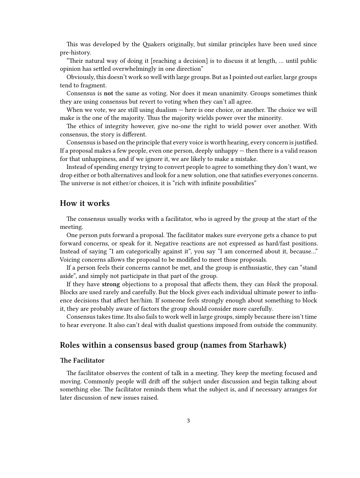This was developed by the Quakers originally, but similar principles have been used since pre-history.

"Their natural way of doing it [reaching a decision] is to discuss it at length, … until public opinion has settled overwhelmingly in one direction"

Obviously, this doesn't work so well with large groups. But as I pointed out earlier, large groups tend to fragment.

Consensus is **not** the same as voting. Nor does it mean unanimity. Groups sometimes think they are using consensus but revert to voting when they can't all agree.

When we vote, we are still using dualism — here is one choice, or another. The choice we will make is the one of the majority. Thus the majority wields power over the minority.

The ethics of integrity however, give no-one the right to wield power over another. With consensus, the story is different.

Consensus is based on the principle that every voice is worth hearing, every concern is justified. If a proposal makes a few people, even one person, deeply unhappy — then there is a valid reason for that unhappiness, and if we ignore it, we are likely to make a mistake.

Instead of spending energy trying to convert people to agree to something they don't want, we drop either or both alternatives and look for a new solution, one that satisfies everyones concerns. The universe is not either/or choices, it is "rich with infinite possibilities"

#### <span id="page-2-0"></span>**How it works**

The consensus usually works with a facilitator, who is agreed by the group at the start of the meeting.

One person puts forward a proposal. The facilitator makes sure everyone gets a chance to put forward concerns, or speak for it. Negative reactions are not expressed as hard/fast positions. Instead of saying "I am categorically against it", you say "I am concerned about it, because…" Voicing concerns allows the proposal to be modified to meet those proposals.

If a person feels their concerns cannot be met, and the group is enthusiastic, they can "stand aside", and simply not participate in that part of the group.

If they have **strong** objections to a proposal that affects them, they can *block* the proposal. Blocks are used rarely and carefully. But the block gives each individual ultimate power to influence decisions that affect her/him. If someone feels strongly enough about something to block it, they are probably aware of factors the group should consider more carefully.

Consensus takes time. Its also fails to work well in large groups, simply because there isn't time to hear everyone. It also can't deal with dualist questions imposed from outside the community.

### <span id="page-2-1"></span>**Roles within a consensus based group (names from Starhawk)**

#### <span id="page-2-2"></span>**The Facilitator**

The facilitator observes the content of talk in a meeting. They keep the meeting focused and moving. Commonly people will drift off the subject under discussion and begin talking about something else. The facilitator reminds them what the subject is, and if necessary arranges for later discussion of new issues raised.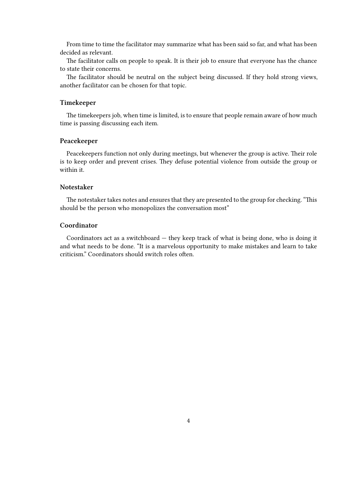From time to time the facilitator may summarize what has been said so far, and what has been decided as relevant.

The facilitator calls on people to speak. It is their job to ensure that everyone has the chance to state their concerns.

The facilitator should be neutral on the subject being discussed. If they hold strong views, another facilitator can be chosen for that topic.

#### <span id="page-3-0"></span>**Timekeeper**

The timekeepers job, when time is limited, is to ensure that people remain aware of how much time is passing discussing each item.

#### <span id="page-3-1"></span>**Peacekeeper**

Peacekeepers function not only during meetings, but whenever the group is active. Their role is to keep order and prevent crises. They defuse potential violence from outside the group or within it.

#### <span id="page-3-2"></span>**Notestaker**

The notestaker takes notes and ensures that they are presented to the group for checking. "This should be the person who monopolizes the conversation most"

#### <span id="page-3-3"></span>**Coordinator**

Coordinators act as a switchboard — they keep track of what is being done, who is doing it and what needs to be done. "It is a marvelous opportunity to make mistakes and learn to take criticism." Coordinators should switch roles often.